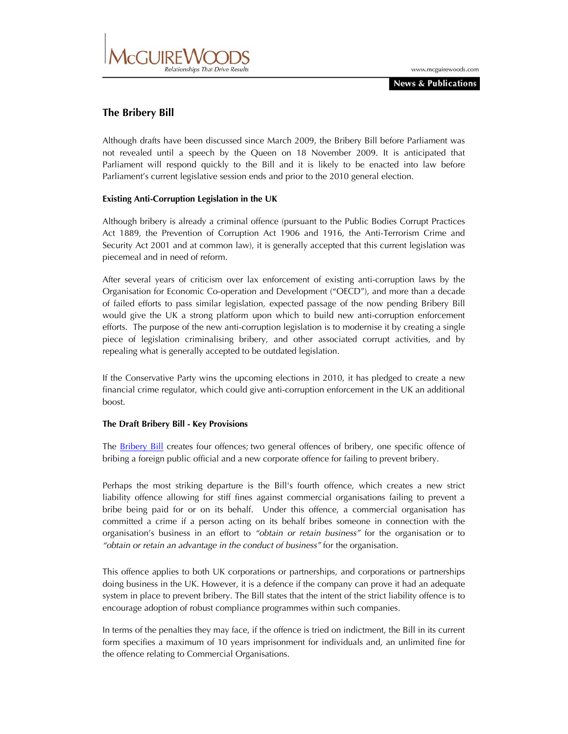

# **The Bribery Bill**

Although drafts have been discussed since March 2009, the Bribery Bill before Parliament was not revealed until a speech by the Queen on 18 November 2009. It is anticipated that Parliament will respond quickly to the Bill and it is likely to be enacted into law before Parliament's current legislative session ends and prior to the 2010 general election.

## **Existing Anti-Corruption Legislation in the UK**

Although bribery is already a criminal offence (pursuant to the Public Bodies Corrupt Practices Act 1889, the Prevention of Corruption Act 1906 and 1916, the Anti-Terrorism Crime and Security Act 2001 and at common law), it is generally accepted that this current legislation was piecemeal and in need of reform.

After several years of criticism over lax enforcement of existing anti-corruption laws by the Organisation for Economic Co-operation and Development ("OECD"), and more than a decade of failed efforts to pass similar legislation, expected passage of the now pending Bribery Bill would give the UK a strong platform upon which to build new anti-corruption enforcement efforts. The purpose of the new anti-corruption legislation is to modernise it by creating a single piece of legislation criminalising bribery, and other associated corrupt activities, and by repealing what is generally accepted to be outdated legislation.

If the Conservative Party wins the upcoming elections in 2010, it has pledged to create a new financial crime regulator, which could give anti-corruption enforcement in the UK an additional boost.

## **The Draft Bribery Bill - Key Provisions**

The **Bribery Bill** creates four offences; two general offences of bribery, one specific offence of bribing a foreign public official and a new corporate offence for failing to prevent bribery.

Perhaps the most striking departure is the Bill's fourth offence, which creates a new strict liability offence allowing for stiff fines against commercial organisations failing to prevent a bribe being paid for or on its behalf. Under this offence, a commercial organisation has committed a crime if a person acting on its behalf bribes someone in connection with the organisation's business in an effort to *"obtain or retain business"* for the organisation or to *"obtain or retain an advantage in the conduct of business"* for the organisation.

This offence applies to both UK corporations or partnerships, and corporations or partnerships doing business in the UK. However, it is a defence if the company can prove it had an adequate system in place to prevent bribery. The Bill states that the intent of the strict liability offence is to encourage adoption of robust compliance programmes within such companies.

In terms of the penalties they may face, if the offence is tried on indictment, the Bill in its current form specifies a maximum of 10 years imprisonment for individuals and, an unlimited fine for the offence relating to Commercial Organisations.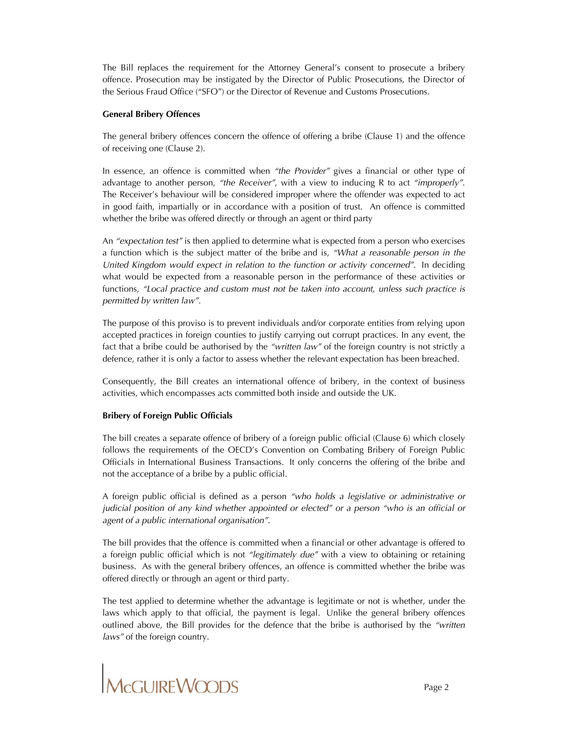The Bill replaces the requirement for the Attorney General's consent to prosecute a bribery offence. Prosecution may be instigated by the Director of Public Prosecutions, the Director of the Serious Fraud Office ("SFO") or the Director of Revenue and Customs Prosecutions.

## **General Bribery Offences**

The general bribery offences concern the offence of offering a bribe (Clause 1) and the offence of receiving one (Clause 2).

In essence, an offence is committed when *"the Provider"* gives a financial or other type of advantage to another person, *"the Receiver"*, with a view to inducing R to act *"improperly"*. The Receiver's behaviour will be considered improper where the offender was expected to act in good faith, impartially or in accordance with a position of trust. An offence is committed whether the bribe was offered directly or through an agent or third party

An *"expectation test"* is then applied to determine what is expected from a person who exercises a function which is the subject matter of the bribe and is, *"What a reasonable person in the United Kingdom would expect in relation to the function or activity concerned"*. In deciding what would be expected from a reasonable person in the performance of these activities or functions, *"Local practice and custom must not be taken into account, unless such practice is permitted by written law"*.

The purpose of this proviso is to prevent individuals and/or corporate entities from relying upon accepted practices in foreign counties to justify carrying out corrupt practices. In any event, the fact that a bribe could be authorised by the *"written law"* of the foreign country is not strictly a defence, rather it is only a factor to assess whether the relevant expectation has been breached.

Consequently, the Bill creates an international offence of bribery, in the context of business activities, which encompasses acts committed both inside and outside the UK.

## **Bribery of Foreign Public Officials**

The bill creates a separate offence of bribery of a foreign public official (Clause 6) which closely follows the requirements of the OECD's Convention on Combating Bribery of Foreign Public Officials in International Business Transactions. It only concerns the offering of the bribe and not the acceptance of a bribe by a public official.

A foreign public official is defined as a person *"who holds a legislative or administrative or judicial position of any kind whether appointed or elected" or a person "who is an official or agent of a public international organisation".*

The bill provides that the offence is committed when a financial or other advantage is offered to a foreign public official which is not *"legitimately due"* with a view to obtaining or retaining business. As with the general bribery offences, an offence is committed whether the bribe was offered directly or through an agent or third party.

The test applied to determine whether the advantage is legitimate or not is whether, under the laws which apply to that official, the payment is legal. Unlike the general bribery offences outlined above, the Bill provides for the defence that the bribe is authorised by the *"written laws"* of the foreign country.

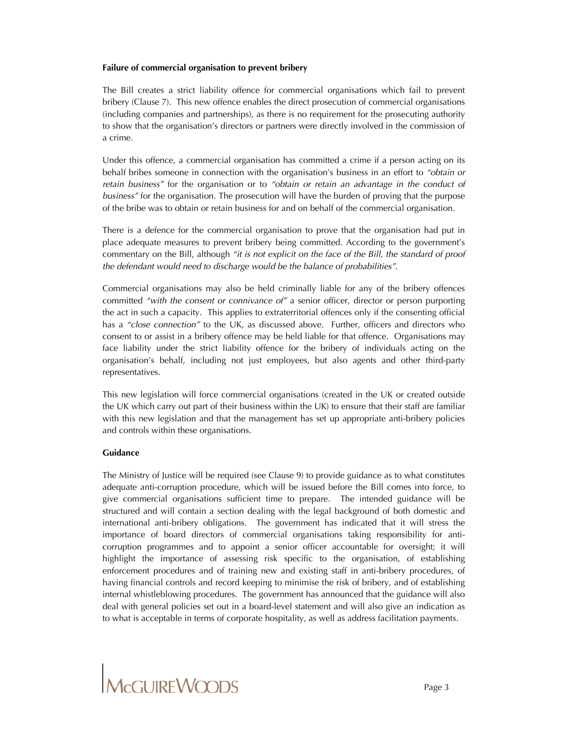## **Failure of commercial organisation to prevent bribery**

The Bill creates a strict liability offence for commercial organisations which fail to prevent bribery (Clause 7). This new offence enables the direct prosecution of commercial organisations (including companies and partnerships), as there is no requirement for the prosecuting authority to show that the organisation's directors or partners were directly involved in the commission of a crime.

Under this offence, a commercial organisation has committed a crime if a person acting on its behalf bribes someone in connection with the organisation's business in an effort to *"obtain or retain business"* for the organisation or to *"obtain or retain an advantage in the conduct of business"* for the organisation. The prosecution will have the burden of proving that the purpose of the bribe was to obtain or retain business for and on behalf of the commercial organisation.

There is a defence for the commercial organisation to prove that the organisation had put in place adequate measures to prevent bribery being committed. According to the government's commentary on the Bill, although *"it is not explicit on the face of the Bill, the standard of proof the defendant would need to discharge would be the balance of probabilities"*.

Commercial organisations may also be held criminally liable for any of the bribery offences committed *"with the consent or connivance of"* a senior officer, director or person purporting the act in such a capacity. This applies to extraterritorial offences only if the consenting official has a *"close connection"* to the UK, as discussed above. Further, officers and directors who consent to or assist in a bribery offence may be held liable for that offence. Organisations may face liability under the strict liability offence for the bribery of individuals acting on the organisation's behalf, including not just employees, but also agents and other third-party representatives.

This new legislation will force commercial organisations (created in the UK or created outside the UK which carry out part of their business within the UK) to ensure that their staff are familiar with this new legislation and that the management has set up appropriate anti-bribery policies and controls within these organisations.

## **Guidance**

The Ministry of Justice will be required (see Clause 9) to provide guidance as to what constitutes adequate anti-corruption procedure, which will be issued before the Bill comes into force, to give commercial organisations sufficient time to prepare. The intended guidance will be structured and will contain a section dealing with the legal background of both domestic and international anti-bribery obligations. The government has indicated that it will stress the importance of board directors of commercial organisations taking responsibility for anticorruption programmes and to appoint a senior officer accountable for oversight; it will highlight the importance of assessing risk specific to the organisation, of establishing enforcement procedures and of training new and existing staff in anti-bribery procedures, of having financial controls and record keeping to minimise the risk of bribery, and of establishing internal whistleblowing procedures. The government has announced that the guidance will also deal with general policies set out in a board-level statement and will also give an indication as to what is acceptable in terms of corporate hospitality, as well as address facilitation payments.

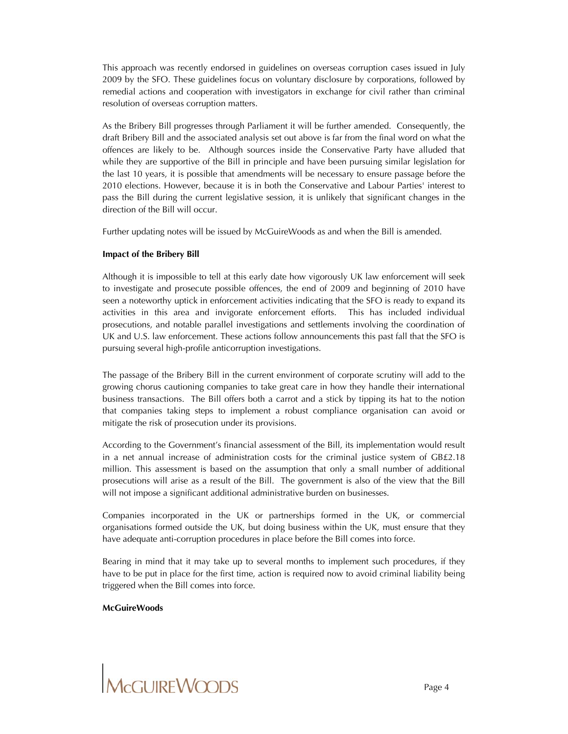This approach was recently endorsed in guidelines on overseas corruption cases issued in July 2009 by the SFO. These guidelines focus on voluntary disclosure by corporations, followed by remedial actions and cooperation with investigators in exchange for civil rather than criminal resolution of overseas corruption matters.

As the Bribery Bill progresses through Parliament it will be further amended. Consequently, the draft Bribery Bill and the associated analysis set out above is far from the final word on what the offences are likely to be. Although sources inside the Conservative Party have alluded that while they are supportive of the Bill in principle and have been pursuing similar legislation for the last 10 years, it is possible that amendments will be necessary to ensure passage before the 2010 elections. However, because it is in both the Conservative and Labour Parties' interest to pass the Bill during the current legislative session, it is unlikely that significant changes in the direction of the Bill will occur.

Further updating notes will be issued by McGuireWoods as and when the Bill is amended.

#### **Impact of the Bribery Bill**

Although it is impossible to tell at this early date how vigorously UK law enforcement will seek to investigate and prosecute possible offences, the end of 2009 and beginning of 2010 have seen a noteworthy uptick in enforcement activities indicating that the SFO is ready to expand its activities in this area and invigorate enforcement efforts. This has included individual prosecutions, and notable parallel investigations and settlements involving the coordination of UK and U.S. law enforcement. These actions follow announcements this past fall that the SFO is pursuing several high-profile anticorruption investigations.

The passage of the Bribery Bill in the current environment of corporate scrutiny will add to the growing chorus cautioning companies to take great care in how they handle their international business transactions. The Bill offers both a carrot and a stick by tipping its hat to the notion that companies taking steps to implement a robust compliance organisation can avoid or mitigate the risk of prosecution under its provisions.

According to the Government's financial assessment of the Bill, its implementation would result in a net annual increase of administration costs for the criminal justice system of GB£2.18 million. This assessment is based on the assumption that only a small number of additional prosecutions will arise as a result of the Bill. The government is also of the view that the Bill will not impose a significant additional administrative burden on businesses.

Companies incorporated in the UK or partnerships formed in the UK, or commercial organisations formed outside the UK, but doing business within the UK, must ensure that they have adequate anti-corruption procedures in place before the Bill comes into force.

Bearing in mind that it may take up to several months to implement such procedures, if they have to be put in place for the first time, action is required now to avoid criminal liability being triggered when the Bill comes into force.

#### **McGuireWoods**